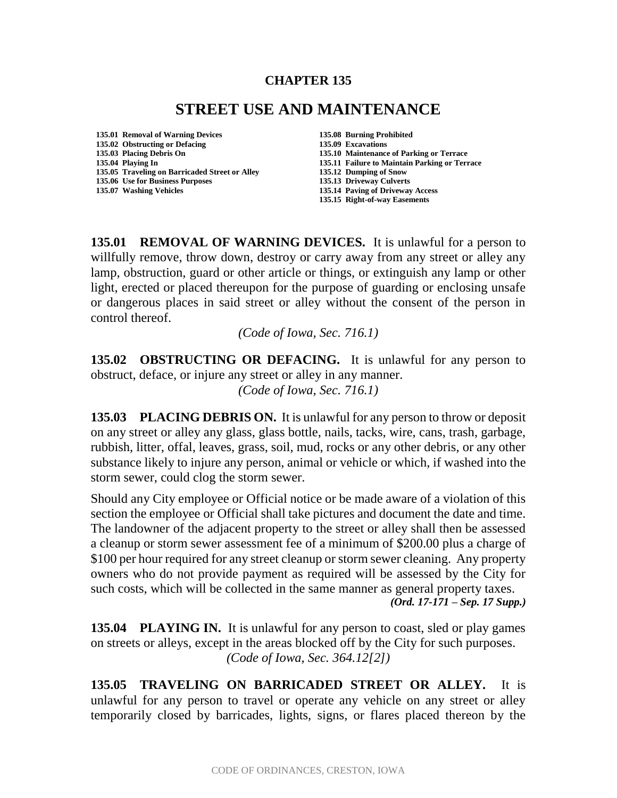## **CHAPTER 135**

## **STREET USE AND MAINTENANCE**

**135.01 Removal of Warning Devices 135.08 Burning Prohibited 135.02 Obstructing or Defacing 135.03 Placing Debris On 135.10 Maintenance of Parking or Terrace 135.05 Traveling on Barricaded Street or Alley 135.12 Dumping of Snow 135.06 Use for Business Purposes** 

- 
- **135.11 Failure to Maintain Parking or Terrace**
- 
- 
- **135.07 Washing Vehicles 135.14 Paving of Driveway Access**
	- **135.15 Right-of-way Easements**

135.01 **REMOVAL OF WARNING DEVICES.** It is unlawful for a person to willfully remove, throw down, destroy or carry away from any street or alley any lamp, obstruction, guard or other article or things, or extinguish any lamp or other light, erected or placed thereupon for the purpose of guarding or enclosing unsafe or dangerous places in said street or alley without the consent of the person in control thereof.

*(Code of Iowa, Sec. 716.1)* 

**135.02 OBSTRUCTING OR DEFACING.** It is unlawful for any person to obstruct, deface, or injure any street or alley in any manner.

*(Code of Iowa, Sec. 716.1)* 

**135.03 PLACING DEBRIS ON.** It is unlawful for any person to throw or deposit on any street or alley any glass, glass bottle, nails, tacks, wire, cans, trash, garbage, rubbish, litter, offal, leaves, grass, soil, mud, rocks or any other debris, or any other substance likely to injure any person, animal or vehicle or which, if washed into the storm sewer, could clog the storm sewer.

Should any City employee or Official notice or be made aware of a violation of this section the employee or Official shall take pictures and document the date and time. The landowner of the adjacent property to the street or alley shall then be assessed a cleanup or storm sewer assessment fee of a minimum of \$200.00 plus a charge of \$100 per hour required for any street cleanup or storm sewer cleaning. Any property owners who do not provide payment as required will be assessed by the City for such costs, which will be collected in the same manner as general property taxes. *(Ord. 17-171 – Sep. 17 Supp.)*

**135.04 PLAYING IN.** It is unlawful for any person to coast, sled or play games on streets or alleys, except in the areas blocked off by the City for such purposes. *(Code of Iowa, Sec. 364.12[2])* 

**135.05 TRAVELING ON BARRICADED STREET OR ALLEY.** It is unlawful for any person to travel or operate any vehicle on any street or alley temporarily closed by barricades, lights, signs, or flares placed thereon by the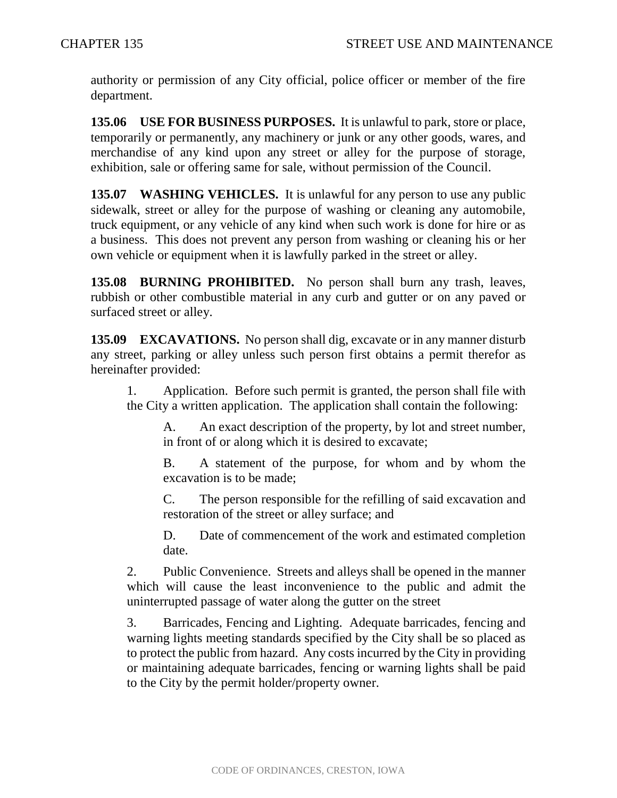authority or permission of any City official, police officer or member of the fire department.

**135.06 USE FOR BUSINESS PURPOSES.** It is unlawful to park, store or place, temporarily or permanently, any machinery or junk or any other goods, wares, and merchandise of any kind upon any street or alley for the purpose of storage, exhibition, sale or offering same for sale, without permission of the Council.

**135.07 WASHING VEHICLES.** It is unlawful for any person to use any public sidewalk, street or alley for the purpose of washing or cleaning any automobile, truck equipment, or any vehicle of any kind when such work is done for hire or as a business. This does not prevent any person from washing or cleaning his or her own vehicle or equipment when it is lawfully parked in the street or alley.

**135.08 BURNING PROHIBITED.** No person shall burn any trash, leaves, rubbish or other combustible material in any curb and gutter or on any paved or surfaced street or alley.

**135.09 EXCAVATIONS.** No person shall dig, excavate or in any manner disturb any street, parking or alley unless such person first obtains a permit therefor as hereinafter provided:

1. Application. Before such permit is granted, the person shall file with the City a written application. The application shall contain the following:

A. An exact description of the property, by lot and street number, in front of or along which it is desired to excavate;

B. A statement of the purpose, for whom and by whom the excavation is to be made;

C. The person responsible for the refilling of said excavation and restoration of the street or alley surface; and

D. Date of commencement of the work and estimated completion date.

2. Public Convenience. Streets and alleys shall be opened in the manner which will cause the least inconvenience to the public and admit the uninterrupted passage of water along the gutter on the street

3. Barricades, Fencing and Lighting. Adequate barricades, fencing and warning lights meeting standards specified by the City shall be so placed as to protect the public from hazard. Any costs incurred by the City in providing or maintaining adequate barricades, fencing or warning lights shall be paid to the City by the permit holder/property owner.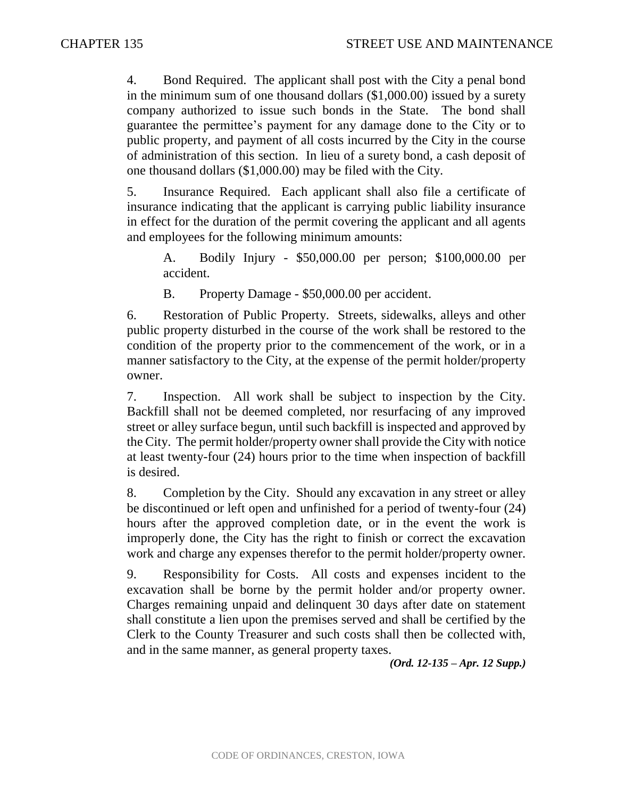4. Bond Required. The applicant shall post with the City a penal bond in the minimum sum of one thousand dollars (\$1,000.00) issued by a surety company authorized to issue such bonds in the State. The bond shall guarantee the permittee's payment for any damage done to the City or to public property, and payment of all costs incurred by the City in the course of administration of this section. In lieu of a surety bond, a cash deposit of one thousand dollars (\$1,000.00) may be filed with the City.

5. Insurance Required. Each applicant shall also file a certificate of insurance indicating that the applicant is carrying public liability insurance in effect for the duration of the permit covering the applicant and all agents and employees for the following minimum amounts:

A. Bodily Injury - \$50,000.00 per person; \$100,000.00 per accident.

B. Property Damage - \$50,000.00 per accident.

6. Restoration of Public Property. Streets, sidewalks, alleys and other public property disturbed in the course of the work shall be restored to the condition of the property prior to the commencement of the work, or in a manner satisfactory to the City, at the expense of the permit holder/property owner.

7. Inspection. All work shall be subject to inspection by the City. Backfill shall not be deemed completed, nor resurfacing of any improved street or alley surface begun, until such backfill is inspected and approved by the City. The permit holder/property owner shall provide the City with notice at least twenty-four (24) hours prior to the time when inspection of backfill is desired.

8. Completion by the City. Should any excavation in any street or alley be discontinued or left open and unfinished for a period of twenty-four (24) hours after the approved completion date, or in the event the work is improperly done, the City has the right to finish or correct the excavation work and charge any expenses therefor to the permit holder/property owner.

9. Responsibility for Costs. All costs and expenses incident to the excavation shall be borne by the permit holder and/or property owner. Charges remaining unpaid and delinquent 30 days after date on statement shall constitute a lien upon the premises served and shall be certified by the Clerk to the County Treasurer and such costs shall then be collected with, and in the same manner, as general property taxes.

*(Ord. 12-135 – Apr. 12 Supp.)*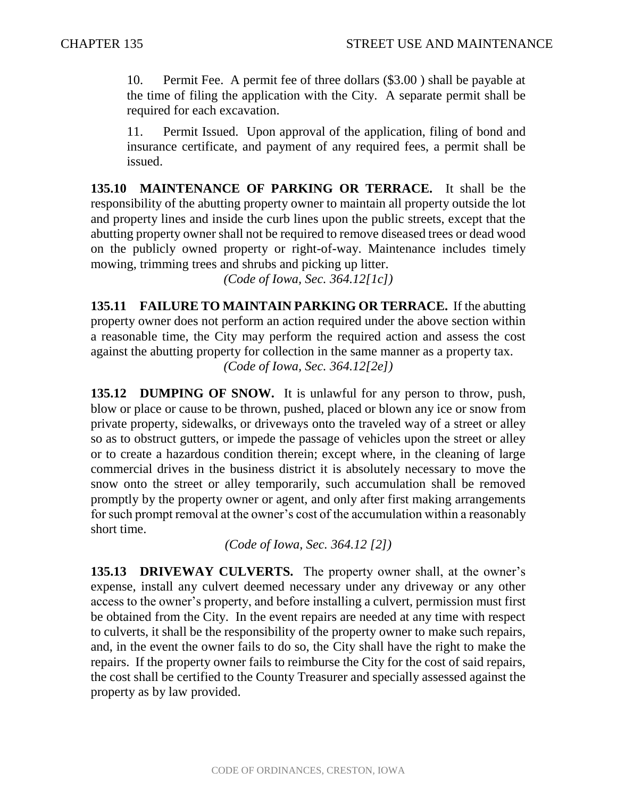10. Permit Fee. A permit fee of three dollars (\$3.00 ) shall be payable at the time of filing the application with the City. A separate permit shall be required for each excavation.

11. Permit Issued. Upon approval of the application, filing of bond and insurance certificate, and payment of any required fees, a permit shall be issued.

**135.10 MAINTENANCE OF PARKING OR TERRACE.** It shall be the responsibility of the abutting property owner to maintain all property outside the lot and property lines and inside the curb lines upon the public streets, except that the abutting property owner shall not be required to remove diseased trees or dead wood on the publicly owned property or right-of-way. Maintenance includes timely mowing, trimming trees and shrubs and picking up litter.

*(Code of Iowa, Sec. 364.12[1c])*

**135.11 FAILURE TO MAINTAIN PARKING OR TERRACE.** If the abutting property owner does not perform an action required under the above section within a reasonable time, the City may perform the required action and assess the cost against the abutting property for collection in the same manner as a property tax. *(Code of Iowa, Sec. 364.12[2e])* 

**135.12 DUMPING OF SNOW.** It is unlawful for any person to throw, push, blow or place or cause to be thrown, pushed, placed or blown any ice or snow from private property, sidewalks, or driveways onto the traveled way of a street or alley so as to obstruct gutters, or impede the passage of vehicles upon the street or alley or to create a hazardous condition therein; except where, in the cleaning of large commercial drives in the business district it is absolutely necessary to move the snow onto the street or alley temporarily, such accumulation shall be removed promptly by the property owner or agent, and only after first making arrangements for such prompt removal at the owner's cost of the accumulation within a reasonably short time.

*(Code of Iowa, Sec. 364.12 [2])* 

**135.13 DRIVEWAY CULVERTS.** The property owner shall, at the owner's expense, install any culvert deemed necessary under any driveway or any other access to the owner's property, and before installing a culvert, permission must first be obtained from the City. In the event repairs are needed at any time with respect to culverts, it shall be the responsibility of the property owner to make such repairs, and, in the event the owner fails to do so, the City shall have the right to make the repairs. If the property owner fails to reimburse the City for the cost of said repairs, the cost shall be certified to the County Treasurer and specially assessed against the property as by law provided.